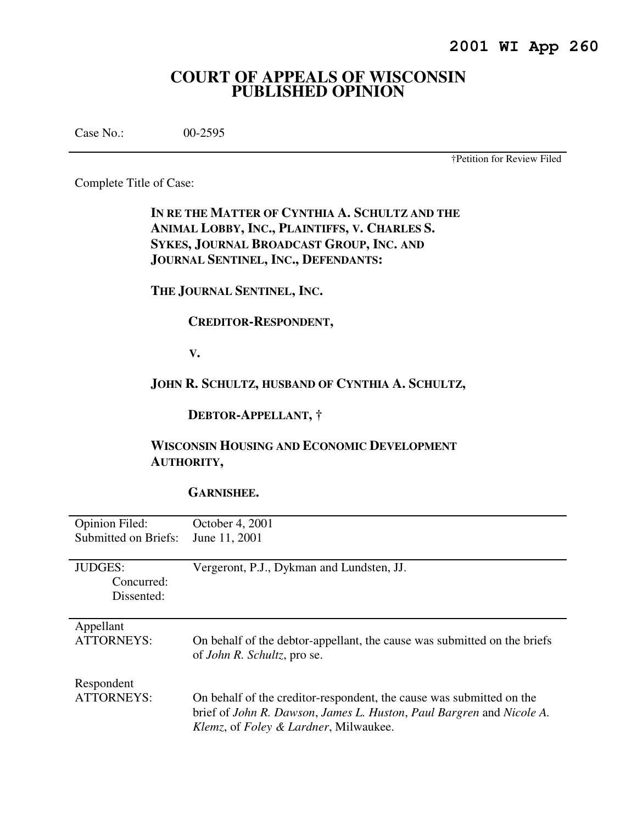# **COURT OF APPEALS OF WISCONSIN PUBLISHED OPINION**

Case No.: 00-2595

†Petition for Review Filed

Complete Title of Case:

**IN RE THE MATTER OF CYNTHIA A. SCHULTZ AND THE ANIMAL LOBBY, INC., PLAINTIFFS, V. CHARLES S. SYKES, JOURNAL BROADCAST GROUP, INC. AND JOURNAL SENTINEL, INC., DEFENDANTS:** 

**THE JOURNAL SENTINEL, INC.** 

 **CREDITOR-RESPONDENT,** 

 **V.** 

## **JOHN R. SCHULTZ, HUSBAND OF CYNTHIA A. SCHULTZ,**

 **DEBTOR-APPELLANT, †** 

# **WISCONSIN HOUSING AND ECONOMIC DEVELOPMENT AUTHORITY,**

## **GARNISHEE.**

| <b>Opinion Filed:</b>                      | October 4, 2001                                                                                                                                                                                           |
|--------------------------------------------|-----------------------------------------------------------------------------------------------------------------------------------------------------------------------------------------------------------|
| Submitted on Briefs:                       | June 11, 2001                                                                                                                                                                                             |
| <b>JUDGES:</b><br>Concurred:<br>Dissented: | Vergeront, P.J., Dykman and Lundsten, JJ.                                                                                                                                                                 |
| Appellant                                  | On behalf of the debtor-appellant, the cause was submitted on the briefs                                                                                                                                  |
| <b>ATTORNEYS:</b>                          | of <i>John R. Schultz</i> , pro se.                                                                                                                                                                       |
| Respondent<br>ATTORNEYS:                   | On behalf of the creditor-respondent, the cause was submitted on the<br>brief of John R. Dawson, James L. Huston, Paul Bargren and Nicole A.<br><i>Klemz</i> , of <i>Foley &amp; Lardner</i> , Milwaukee. |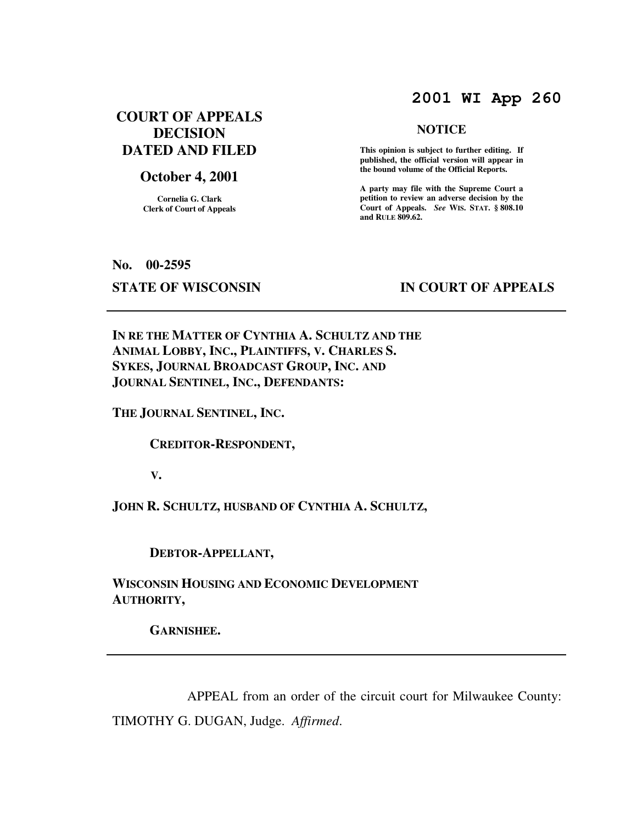# **2001 WI App 260**

# **COURT OF APPEALS DECISION DATED AND FILED**

### **October 4, 2001**

**Cornelia G. Clark Clerk of Court of Appeals**

#### **NOTICE**

 **This opinion is subject to further editing. If published, the official version will appear in the bound volume of the Official Reports.** 

**A party may file with the Supreme Court a petition to review an adverse decision by the Court of Appeals.** *See* **WIS. STAT. § 808.10 and RULE 809.62.** 

**No. 00-2595** 

# **STATE OF WISCONSIN BY APPEALS**

**IN RE THE MATTER OF CYNTHIA A. SCHULTZ AND THE ANIMAL LOBBY, INC., PLAINTIFFS, V. CHARLES S. SYKES, JOURNAL BROADCAST GROUP, INC. AND JOURNAL SENTINEL, INC., DEFENDANTS:** 

**THE JOURNAL SENTINEL, INC.** 

 **CREDITOR-RESPONDENT,** 

 **V.** 

**JOHN R. SCHULTZ, HUSBAND OF CYNTHIA A. SCHULTZ,** 

 **DEBTOR-APPELLANT,** 

**WISCONSIN HOUSING AND ECONOMIC DEVELOPMENT AUTHORITY,** 

 **GARNISHEE.** 

 APPEAL from an order of the circuit court for Milwaukee County: TIMOTHY G. DUGAN, Judge. *Affirmed*.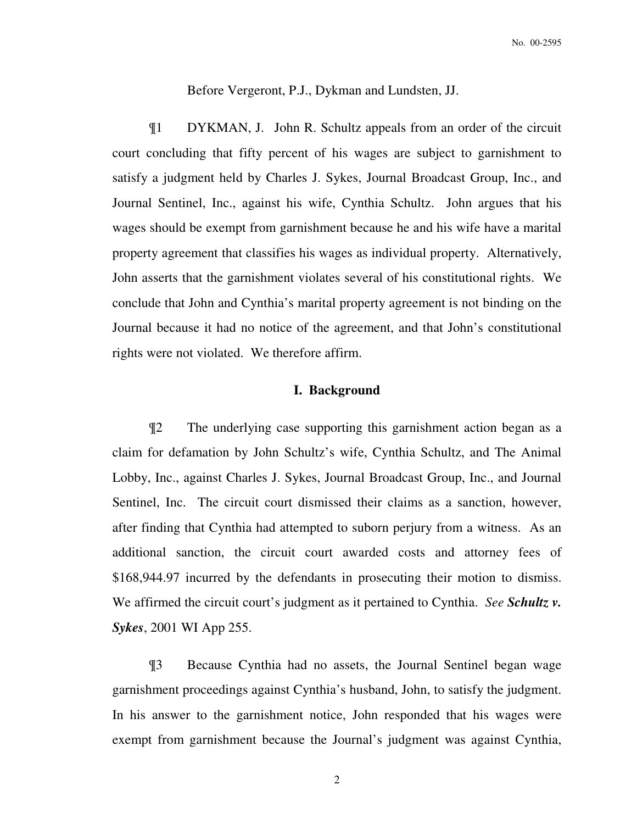Before Vergeront, P.J., Dykman and Lundsten, JJ.

¶1 DYKMAN, J. John R. Schultz appeals from an order of the circuit court concluding that fifty percent of his wages are subject to garnishment to satisfy a judgment held by Charles J. Sykes, Journal Broadcast Group, Inc., and Journal Sentinel, Inc., against his wife, Cynthia Schultz. John argues that his wages should be exempt from garnishment because he and his wife have a marital property agreement that classifies his wages as individual property. Alternatively, John asserts that the garnishment violates several of his constitutional rights. We conclude that John and Cynthia's marital property agreement is not binding on the Journal because it had no notice of the agreement, and that John's constitutional rights were not violated. We therefore affirm.

### **I. Background**

¶2 The underlying case supporting this garnishment action began as a claim for defamation by John Schultz's wife, Cynthia Schultz, and The Animal Lobby, Inc., against Charles J. Sykes, Journal Broadcast Group, Inc., and Journal Sentinel, Inc. The circuit court dismissed their claims as a sanction, however, after finding that Cynthia had attempted to suborn perjury from a witness. As an additional sanction, the circuit court awarded costs and attorney fees of \$168,944.97 incurred by the defendants in prosecuting their motion to dismiss. We affirmed the circuit court's judgment as it pertained to Cynthia. *See Schultz v. Sykes*, 2001 WI App 255.

¶3 Because Cynthia had no assets, the Journal Sentinel began wage garnishment proceedings against Cynthia's husband, John, to satisfy the judgment. In his answer to the garnishment notice, John responded that his wages were exempt from garnishment because the Journal's judgment was against Cynthia,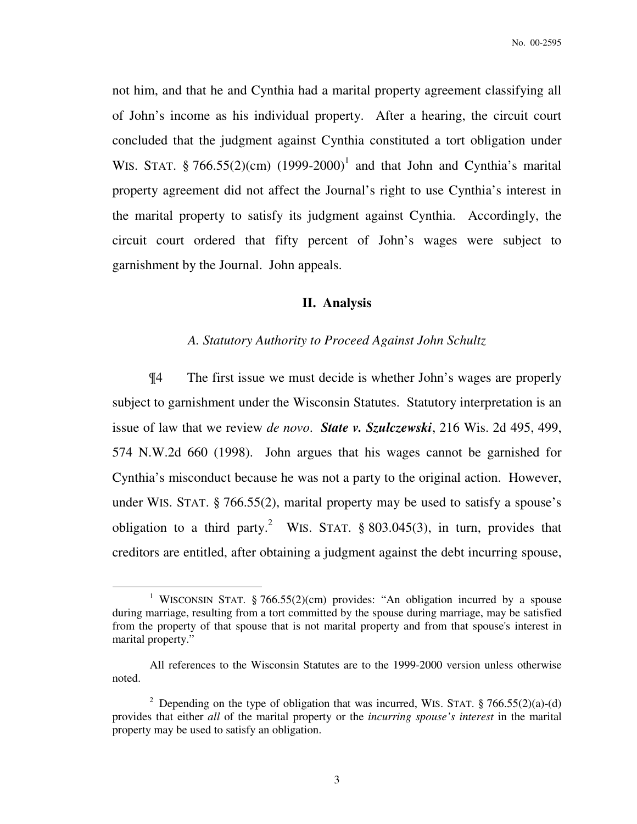not him, and that he and Cynthia had a marital property agreement classifying all of John's income as his individual property. After a hearing, the circuit court concluded that the judgment against Cynthia constituted a tort obligation under WIS. STAT. § 766.55(2)(cm)  $(1999-2000)^{1}$  and that John and Cynthia's marital property agreement did not affect the Journal's right to use Cynthia's interest in the marital property to satisfy its judgment against Cynthia. Accordingly, the circuit court ordered that fifty percent of John's wages were subject to garnishment by the Journal. John appeals.

#### **II. Analysis**

#### *A. Statutory Authority to Proceed Against John Schultz*

¶4 The first issue we must decide is whether John's wages are properly subject to garnishment under the Wisconsin Statutes. Statutory interpretation is an issue of law that we review *de novo*. *State v. Szulczewski*, 216 Wis. 2d 495, 499, 574 N.W.2d 660 (1998).John argues that his wages cannot be garnished for Cynthia's misconduct because he was not a party to the original action. However, under WIS. STAT. § 766.55(2), marital property may be used to satisfy a spouse's obligation to a third party.<sup>2</sup> WIS. STAT. § 803.045(3), in turn, provides that creditors are entitled, after obtaining a judgment against the debt incurring spouse,

 $\overline{a}$ 

<sup>&</sup>lt;sup>1</sup> WISCONSIN STAT. § 766.55(2)(cm) provides: "An obligation incurred by a spouse during marriage, resulting from a tort committed by the spouse during marriage, may be satisfied from the property of that spouse that is not marital property and from that spouse's interest in marital property."

All references to the Wisconsin Statutes are to the 1999-2000 version unless otherwise noted.

<sup>&</sup>lt;sup>2</sup> Depending on the type of obligation that was incurred, WIS. STAT. § 766.55(2)(a)-(d) provides that either *all* of the marital property or the *incurring spouse's interest* in the marital property may be used to satisfy an obligation.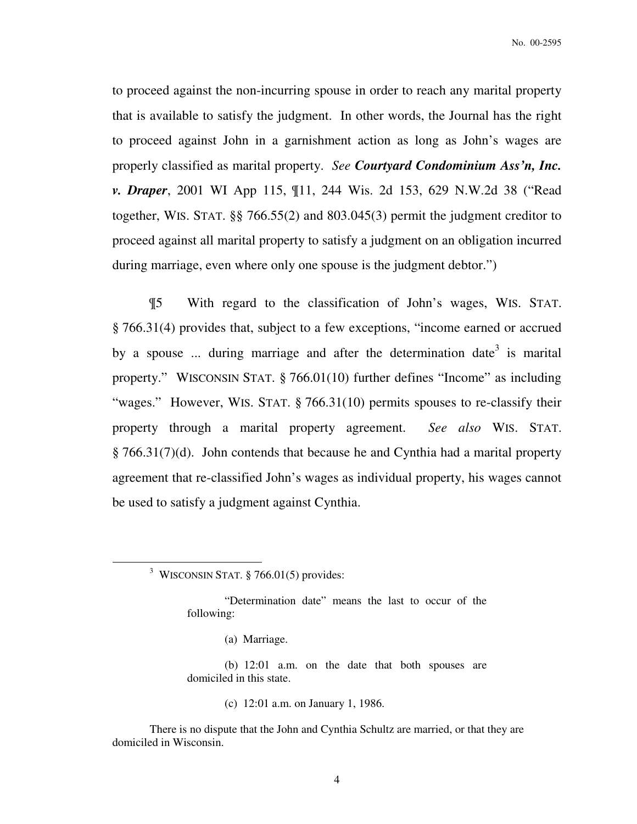No. 00-2595

to proceed against the non-incurring spouse in order to reach any marital property that is available to satisfy the judgment. In other words, the Journal has the right to proceed against John in a garnishment action as long as John's wages are properly classified as marital property. *See Courtyard Condominium Ass'n, Inc. v. Draper*, 2001 WI App 115, ¶11, 244 Wis. 2d 153, 629 N.W.2d 38 ("Read together, WIS. STAT. §§ 766.55(2) and 803.045(3) permit the judgment creditor to proceed against all marital property to satisfy a judgment on an obligation incurred during marriage, even where only one spouse is the judgment debtor.")

¶5 With regard to the classification of John's wages, WIS. STAT. § 766.31(4) provides that, subject to a few exceptions, "income earned or accrued by a spouse ... during marriage and after the determination date<sup>3</sup> is marital property." WISCONSIN STAT. § 766.01(10) further defines "Income" as including "wages." However, WIS. STAT. § 766.31(10) permits spouses to re-classify their property through a marital property agreement. *See also* WIS. STAT. § 766.31(7)(d). John contends that because he and Cynthia had a marital property agreement that re-classified John's wages as individual property, his wages cannot be used to satisfy a judgment against Cynthia.

 $\overline{a}$ 

(c) 12:01 a.m. on January 1, 1986.

<sup>&</sup>lt;sup>3</sup> WISCONSIN STAT.  $\S$  766.01(5) provides:

<sup>&</sup>quot;Determination date" means the last to occur of the following:

<sup>(</sup>a) Marriage.

<sup>(</sup>b) 12:01 a.m. on the date that both spouses are domiciled in this state.

There is no dispute that the John and Cynthia Schultz are married, or that they are domiciled in Wisconsin.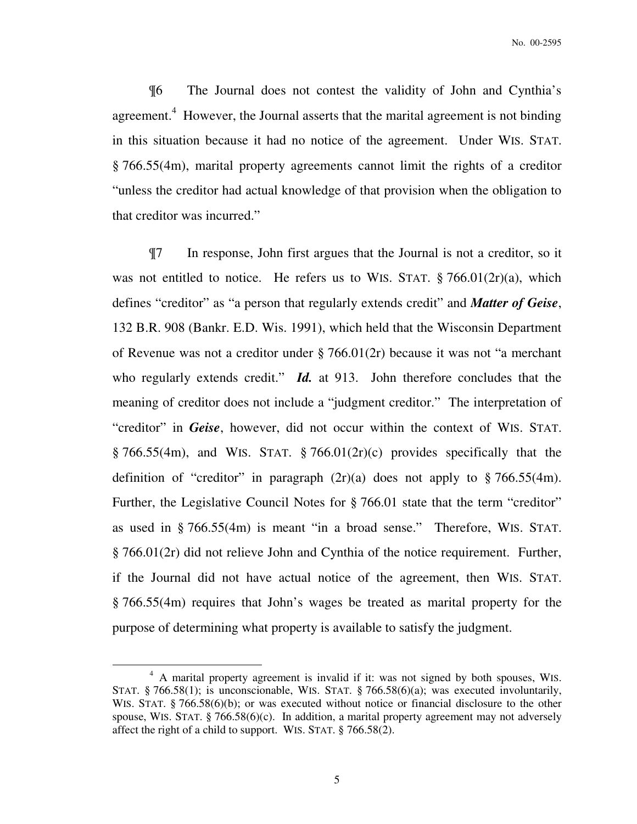¶6 The Journal does not contest the validity of John and Cynthia's agreement.<sup>4</sup> However, the Journal asserts that the marital agreement is not binding in this situation because it had no notice of the agreement. Under WIS. STAT. § 766.55(4m), marital property agreements cannot limit the rights of a creditor "unless the creditor had actual knowledge of that provision when the obligation to that creditor was incurred."

¶7 In response, John first argues that the Journal is not a creditor, so it was not entitled to notice. He refers us to WIS. STAT.  $\S 766.01(2r)(a)$ , which defines "creditor" as "a person that regularly extends credit" and *Matter of Geise*, 132 B.R. 908 (Bankr. E.D. Wis. 1991), which held that the Wisconsin Department of Revenue was not a creditor under § 766.01(2r) because it was not "a merchant who regularly extends credit." *Id.* at 913. John therefore concludes that the meaning of creditor does not include a "judgment creditor." The interpretation of "creditor" in *Geise*, however, did not occur within the context of WIS. STAT.  $\S 766.55(4m)$ , and WIS. STAT.  $\S 766.01(2r)(c)$  provides specifically that the definition of "creditor" in paragraph  $(2r)(a)$  does not apply to § 766.55(4m). Further, the Legislative Council Notes for § 766.01 state that the term "creditor" as used in § 766.55(4m) is meant "in a broad sense." Therefore, WIS. STAT. § 766.01(2r) did not relieve John and Cynthia of the notice requirement. Further, if the Journal did not have actual notice of the agreement, then WIS. STAT. § 766.55(4m) requires that John's wages be treated as marital property for the purpose of determining what property is available to satisfy the judgment.

 $\overline{a}$ 

<sup>&</sup>lt;sup>4</sup> A marital property agreement is invalid if it: was not signed by both spouses, WIS. STAT. § 766.58(1); is unconscionable, WIS. STAT. § 766.58(6)(a); was executed involuntarily, WIS. STAT. § 766.58(6)(b); or was executed without notice or financial disclosure to the other spouse, WIS. STAT.  $\S$  766.58(6)(c). In addition, a marital property agreement may not adversely affect the right of a child to support. WIS. STAT. § 766.58(2).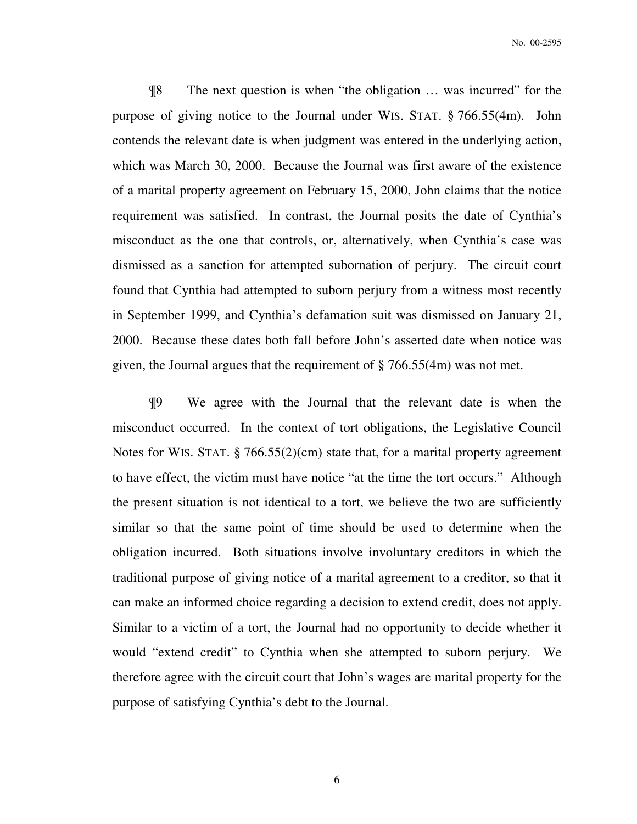¶8 The next question is when "the obligation … was incurred" for the purpose of giving notice to the Journal under WIS. STAT. § 766.55(4m). John contends the relevant date is when judgment was entered in the underlying action, which was March 30, 2000. Because the Journal was first aware of the existence of a marital property agreement on February 15, 2000, John claims that the notice requirement was satisfied. In contrast, the Journal posits the date of Cynthia's misconduct as the one that controls, or, alternatively, when Cynthia's case was dismissed as a sanction for attempted subornation of perjury. The circuit court found that Cynthia had attempted to suborn perjury from a witness most recently in September 1999, and Cynthia's defamation suit was dismissed on January 21, 2000. Because these dates both fall before John's asserted date when notice was given, the Journal argues that the requirement of § 766.55(4m) was not met.

¶9 We agree with the Journal that the relevant date is when the misconduct occurred. In the context of tort obligations, the Legislative Council Notes for WIS. STAT. § 766.55(2)(cm) state that, for a marital property agreement to have effect, the victim must have notice "at the time the tort occurs." Although the present situation is not identical to a tort, we believe the two are sufficiently similar so that the same point of time should be used to determine when the obligation incurred. Both situations involve involuntary creditors in which the traditional purpose of giving notice of a marital agreement to a creditor, so that it can make an informed choice regarding a decision to extend credit, does not apply. Similar to a victim of a tort, the Journal had no opportunity to decide whether it would "extend credit" to Cynthia when she attempted to suborn perjury. We therefore agree with the circuit court that John's wages are marital property for the purpose of satisfying Cynthia's debt to the Journal.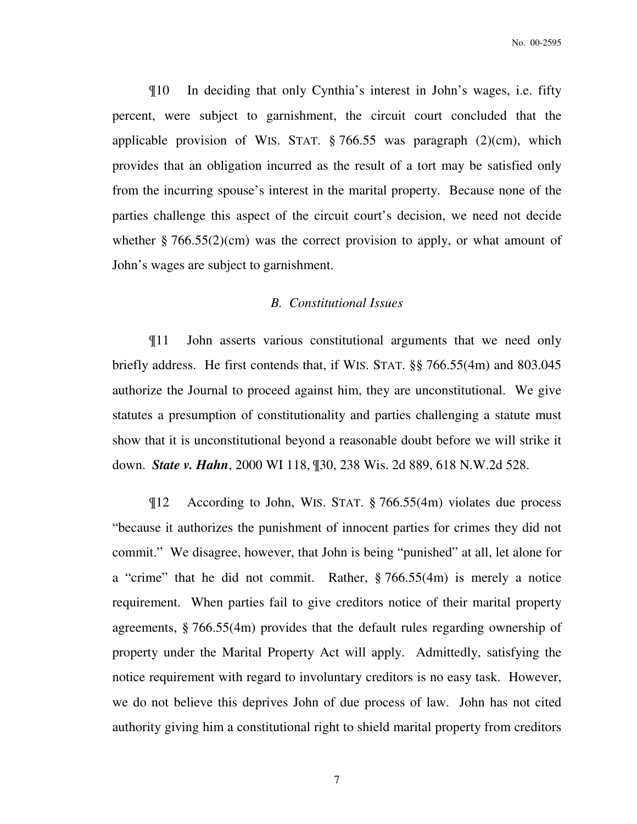¶10 In deciding that only Cynthia's interest in John's wages, i.e. fifty percent, were subject to garnishment, the circuit court concluded that the applicable provision of WIS. STAT.  $\S 766.55$  was paragraph (2)(cm), which provides that an obligation incurred as the result of a tort may be satisfied only from the incurring spouse's interest in the marital property. Because none of the parties challenge this aspect of the circuit court's decision, we need not decide whether  $\S 766.55(2)(cm)$  was the correct provision to apply, or what amount of John's wages are subject to garnishment.

## *B. Constitutional Issues*

¶11 John asserts various constitutional arguments that we need only briefly address. He first contends that, if WIS. STAT. §§ 766.55(4m) and 803.045 authorize the Journal to proceed against him, they are unconstitutional. We give statutes a presumption of constitutionality and parties challenging a statute must show that it is unconstitutional beyond a reasonable doubt before we will strike it down. *State v. Hahn*, 2000 WI 118, ¶30, 238 Wis. 2d 889, 618 N.W.2d 528.

¶12 According to John, WIS. STAT. § 766.55(4m) violates due process "because it authorizes the punishment of innocent parties for crimes they did not commit." We disagree, however, that John is being "punished" at all, let alone for a "crime" that he did not commit. Rather, § 766.55(4m) is merely a notice requirement. When parties fail to give creditors notice of their marital property agreements, § 766.55(4m) provides that the default rules regarding ownership of property under the Marital Property Act will apply. Admittedly, satisfying the notice requirement with regard to involuntary creditors is no easy task. However, we do not believe this deprives John of due process of law. John has not cited authority giving him a constitutional right to shield marital property from creditors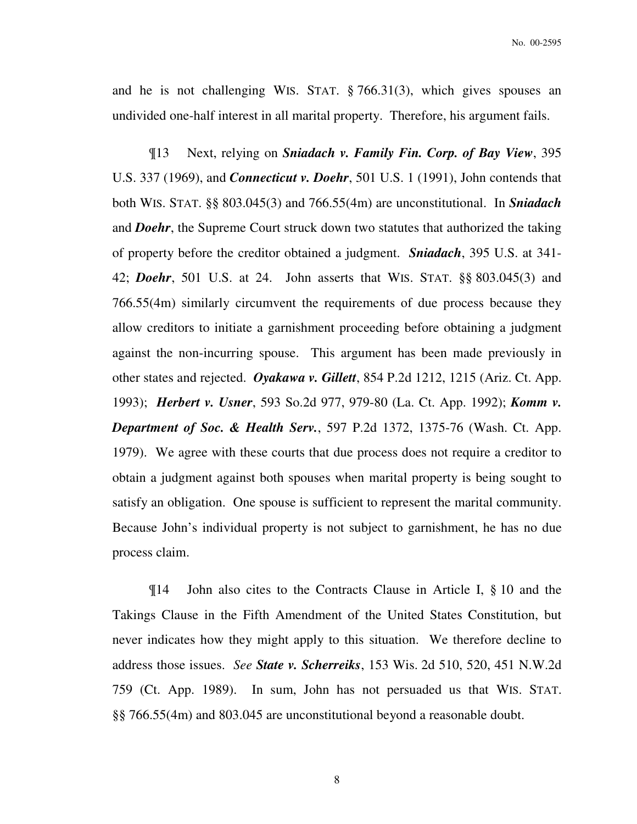and he is not challenging WIS. STAT. § 766.31(3), which gives spouses an undivided one-half interest in all marital property. Therefore, his argument fails.

¶13 Next, relying on *Sniadach v. Family Fin. Corp. of Bay View*, 395 U.S. 337 (1969), and *Connecticut v. Doehr*, 501 U.S. 1 (1991), John contends that both WIS. STAT. §§ 803.045(3) and 766.55(4m) are unconstitutional. In *Sniadach* and *Doehr*, the Supreme Court struck down two statutes that authorized the taking of property before the creditor obtained a judgment. *Sniadach*, 395 U.S. at 341- 42; *Doehr*, 501 U.S. at 24. John asserts that WIS. STAT. §§ 803.045(3) and 766.55(4m) similarly circumvent the requirements of due process because they allow creditors to initiate a garnishment proceeding before obtaining a judgment against the non-incurring spouse. This argument has been made previously in other states and rejected. *Oyakawa v. Gillett*, 854 P.2d 1212, 1215 (Ariz. Ct. App. 1993); *Herbert v. Usner*, 593 So.2d 977, 979-80 (La. Ct. App. 1992); *Komm v. Department of Soc. & Health Serv.*, 597 P.2d 1372, 1375-76 (Wash. Ct. App. 1979). We agree with these courts that due process does not require a creditor to obtain a judgment against both spouses when marital property is being sought to satisfy an obligation. One spouse is sufficient to represent the marital community. Because John's individual property is not subject to garnishment, he has no due process claim.

¶14 John also cites to the Contracts Clause in Article I, § 10 and the Takings Clause in the Fifth Amendment of the United States Constitution, but never indicates how they might apply to this situation. We therefore decline to address those issues. *See State v. Scherreiks*, 153 Wis. 2d 510, 520, 451 N.W.2d 759 (Ct. App. 1989). In sum, John has not persuaded us that WIS. STAT. §§ 766.55(4m) and 803.045 are unconstitutional beyond a reasonable doubt.